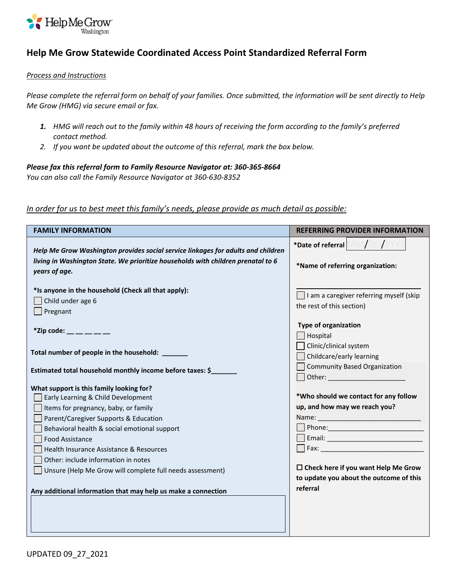

## **Help Me Grow Statewide Coordinated Access Point Standardized Referral Form**

## *Process and Instructions*

*Please complete the referral form on behalf of your families. Once submitted, the information will be sent directly to Help Me Grow (HMG) via secure email or fax.* 

- *1. HMG will reach out to the family within 48 hours of receiving the form according to the family's preferred contact method.*
- *2. If you want be updated about the outcome of this referral, mark the box below.*

## *Please fax this referral form to Family Resource Navigator at: 360-365-8664*

*You can also call the Family Resource Navigator at 360-630-8352*

## *In order for us to best meet this family's needs, please provide as much detail as possible:*

| <b>FAMILY INFORMATION</b>                                                                                                                                                             | <b>REFERRING PROVIDER INFORMATION</b>                                                                         |
|---------------------------------------------------------------------------------------------------------------------------------------------------------------------------------------|---------------------------------------------------------------------------------------------------------------|
| Help Me Grow Washington provides social service linkages for adults and children<br>living in Washington State. We prioritize households with children prenatal to 6<br>years of age. | *Date of referral $\bigwedge/\bigtriangledown$<br>*Name of referring organization:                            |
| *Is anyone in the household (Check all that apply):<br>Child under age 6<br>Pregnant                                                                                                  | $\Box$ I am a caregiver referring myself (skip<br>the rest of this section)                                   |
| *Zip code: $\_\_$ $\_\_$                                                                                                                                                              | <b>Type of organization</b><br>Hospital                                                                       |
| Total number of people in the household: ______                                                                                                                                       | Clinic/clinical system<br>Childcare/early learning                                                            |
| Estimated total household monthly income before taxes: \$                                                                                                                             | <b>Community Based Organization</b>                                                                           |
| What support is this family looking for?                                                                                                                                              |                                                                                                               |
| Early Learning & Child Development                                                                                                                                                    | *Who should we contact for any follow                                                                         |
| Items for pregnancy, baby, or family                                                                                                                                                  | up, and how may we reach you?                                                                                 |
| Parent/Caregiver Supports & Education                                                                                                                                                 |                                                                                                               |
| Behavioral health & social emotional support                                                                                                                                          |                                                                                                               |
| <b>Food Assistance</b>                                                                                                                                                                | Email: 2008 2010 2010 2010 2011 2021 2022 2023 2024 2022 2022 2023 2024 2022 2023 2024 2022 2023 2024 2025 20 |
| Health Insurance Assistance & Resources                                                                                                                                               |                                                                                                               |
| Other: include information in notes                                                                                                                                                   |                                                                                                               |
| Unsure (Help Me Grow will complete full needs assessment)                                                                                                                             | $\Box$ Check here if you want Help Me Grow                                                                    |
|                                                                                                                                                                                       | to update you about the outcome of this<br>referral                                                           |
| Any additional information that may help us make a connection                                                                                                                         |                                                                                                               |
|                                                                                                                                                                                       |                                                                                                               |
|                                                                                                                                                                                       |                                                                                                               |
|                                                                                                                                                                                       |                                                                                                               |